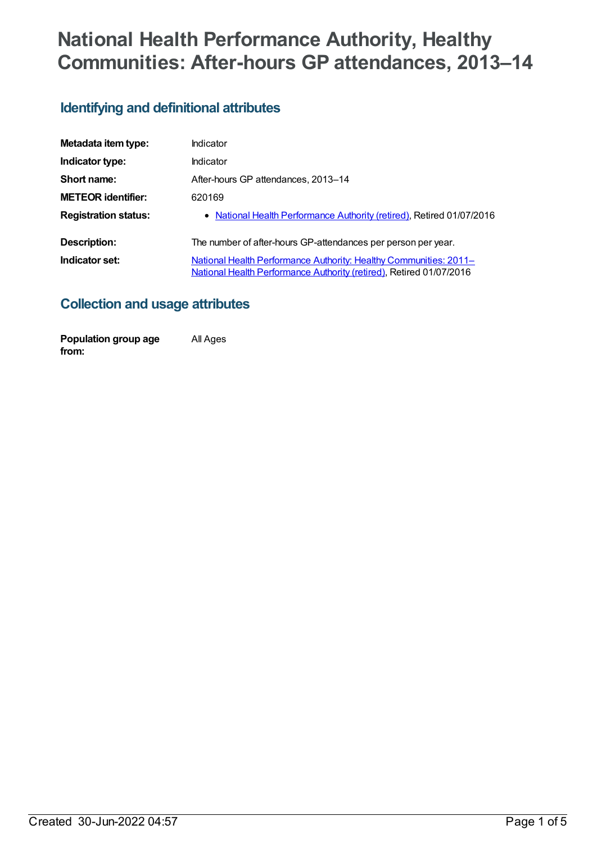# **National Health Performance Authority, Healthy Communities: After-hours GP attendances, 2013–14**

## **Identifying and definitional attributes**

| Metadata item type:         | Indicator                                                                                                                                |
|-----------------------------|------------------------------------------------------------------------------------------------------------------------------------------|
| Indicator type:             | Indicator                                                                                                                                |
| Short name:                 | After-hours GP attendances, 2013-14                                                                                                      |
| <b>METEOR identifier:</b>   | 620169                                                                                                                                   |
| <b>Registration status:</b> | • National Health Performance Authority (retired), Retired 01/07/2016                                                                    |
| Description:                | The number of after-hours GP-attendances per person per year.                                                                            |
| Indicator set:              | National Health Performance Authority: Healthy Communities: 2011–<br>National Health Performance Authority (retired), Retired 01/07/2016 |

### **Collection and usage attributes**

**Population group age from:** All Ages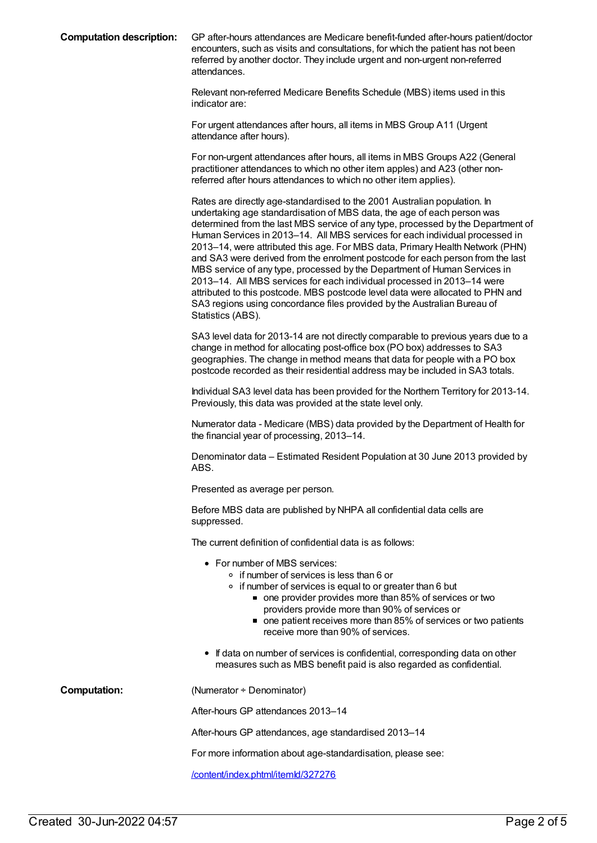**Computation description:** GP after-hours attendances are Medicare benefit-funded after-hours patient/doctor encounters, such as visits and consultations, for which the patient has not been referred by another doctor. They include urgent and non-urgent non-referred attendances.

> Relevant non-referred Medicare Benefits Schedule (MBS) items used in this indicator are:

For urgent attendances after hours, all items in MBS Group A11 (Urgent attendance after hours).

For non-urgent attendances after hours, all items in MBS Groups A22 (General practitioner attendances to which no other item apples) and A23 (other nonreferred after hours attendances to which no other item applies).

Rates are directly age-standardised to the 2001 Australian population. In undertaking age standardisation of MBS data, the age of each person was determined from the last MBS service of any type, processed by the Department of Human Services in 2013–14. All MBS services for each individual processed in 2013–14, were attributed this age. For MBS data, Primary Health Network (PHN) and SA3 were derived from the enrolment postcode for each person from the last MBS service of any type, processed by the Department of Human Services in 2013–14. All MBS services for each individual processed in 2013–14 were attributed to this postcode. MBS postcode level data were allocated to PHN and SA3 regions using concordance files provided by the Australian Bureau of Statistics (ABS).

SA3 level data for 2013-14 are not directly comparable to previous years due to a change in method for allocating post-office box (PO box) addresses to SA3 geographies. The change in method means that data for people with a PO box postcode recorded as their residential address may be included in SA3 totals.

Individual SA3 level data has been provided for the Northern Territory for 2013-14. Previously, this data was provided at the state level only.

Numerator data - Medicare (MBS) data provided by the Department of Health for the financial year of processing, 2013–14.

Denominator data – Estimated Resident Population at 30 June 2013 provided by ABS.

Presented as average per person.

Before MBS data are published by NHPA all confidential data cells are suppressed.

The current definition of confidential data is as follows:

- For number of MBS services:
	- if number of services is less than 6 or
	- if number of services is equal to or greater than 6 but
		- one provider provides more than 85% of services or two providers provide more than 90% of services or
		- one patient receives more than 85% of services or two patients receive more than 90% of services.
- If data on number of services is confidential, corresponding data on other measures such as MBS benefit paid is also regarded as confidential.

**Computation:** (Numerator ÷ Denominator)

After-hours GP attendances 2013–14

After-hours GP attendances, age standardised 2013–14

For more information about age-standardisation, please see:

[/content/index.phtml/itemId/327276](file:///content/327276)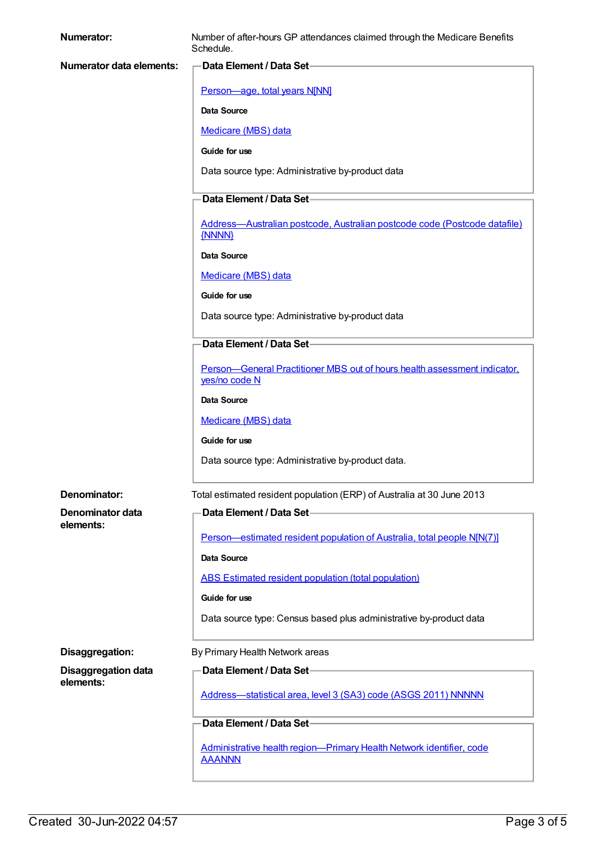| <b>Numerator:</b>               | Number of after-hours GP attendances claimed through the Medicare Benefits<br>Schedule.    |
|---------------------------------|--------------------------------------------------------------------------------------------|
| <b>Numerator data elements:</b> | Data Element / Data Set-                                                                   |
|                                 | Person-age, total years N[NN]                                                              |
|                                 | Data Source                                                                                |
|                                 | Medicare (MBS) data                                                                        |
|                                 | Guide for use                                                                              |
|                                 | Data source type: Administrative by-product data                                           |
|                                 | Data Element / Data Set-                                                                   |
|                                 | Address-Australian postcode, Australian postcode code (Postcode datafile)<br>{NNNN}        |
|                                 | Data Source                                                                                |
|                                 | Medicare (MBS) data                                                                        |
|                                 | Guide for use                                                                              |
|                                 | Data source type: Administrative by-product data                                           |
|                                 | Data Element / Data Set-                                                                   |
|                                 | Person-General Practitioner MBS out of hours health assessment indicator.<br>yes/no code N |
|                                 | Data Source                                                                                |
|                                 | Medicare (MBS) data                                                                        |
|                                 | Guide for use                                                                              |
|                                 | Data source type: Administrative by-product data.                                          |
|                                 |                                                                                            |
| Denominator:                    | Total estimated resident population (ERP) of Australia at 30 June 2013                     |
| Denominator data<br>elements:   | Data Element / Data Set-                                                                   |
|                                 | Person-estimated resident population of Australia, total people N[N(7)]                    |
|                                 | Data Source                                                                                |
|                                 | ABS Estimated resident population (total population)                                       |
|                                 | Guide for use                                                                              |
|                                 | Data source type: Census based plus administrative by-product data                         |
| Disaggregation:                 | By Primary Health Network areas                                                            |
| <b>Disaggregation data</b>      | Data Element / Data Set-                                                                   |
| elements:                       | Address-statistical area, level 3 (SA3) code (ASGS 2011) NNNNN                             |
|                                 | Data Element / Data Set-                                                                   |
|                                 | Administrative health region-Primary Health Network identifier, code<br><b>AAANNN</b>      |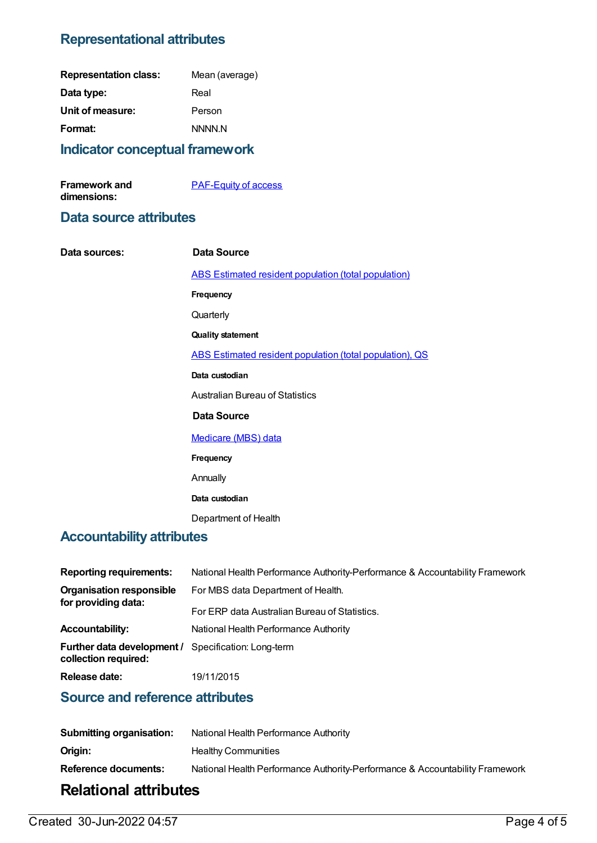## **Representational attributes**

| <b>Representation class:</b>   | Mean (average) |
|--------------------------------|----------------|
| Data type:                     | Real           |
| Unit of measure:               | Person         |
| Format:                        | <b>NNNN.N</b>  |
| Indicator conceptual framework |                |

| <b>Framework and</b> | <b>PAF-Equity of access</b> |
|----------------------|-----------------------------|
| dimensions:          |                             |

#### **Data source attributes**

| Data sources:             | <b>Data Source</b>                                       |
|---------------------------|----------------------------------------------------------|
|                           | ABS Estimated resident population (total population)     |
|                           | Frequency                                                |
|                           | Quarterly                                                |
|                           | <b>Quality statement</b>                                 |
|                           | ABS Estimated resident population (total population), QS |
|                           | Data custodian                                           |
|                           | <b>Australian Bureau of Statistics</b>                   |
|                           | Data Source                                              |
|                           | Medicare (MBS) data                                      |
|                           | Frequency                                                |
|                           | Annually                                                 |
|                           | Data custodian                                           |
|                           | Department of Health                                     |
| Accountability attributes |                                                          |

## **Accountability attributes**

| <b>Reporting requirements:</b>                                                     | National Health Performance Authority-Performance & Accountability Framework |
|------------------------------------------------------------------------------------|------------------------------------------------------------------------------|
| <b>Organisation responsible</b><br>for providing data:                             | For MBS data Department of Health.                                           |
|                                                                                    | For ERP data Australian Bureau of Statistics.                                |
| <b>Accountability:</b>                                                             | National Health Performance Authority                                        |
| <b>Further data development / Specification: Long-term</b><br>collection required: |                                                                              |
| Release date:                                                                      | 19/11/2015                                                                   |

#### **Source and reference attributes**

| <b>Relational attributes</b>    |                                                                              |
|---------------------------------|------------------------------------------------------------------------------|
| Reference documents:            | National Health Performance Authority-Performance & Accountability Framework |
| Origin:                         | <b>Healthy Communities</b>                                                   |
| <b>Submitting organisation:</b> | National Health Performance Authority                                        |